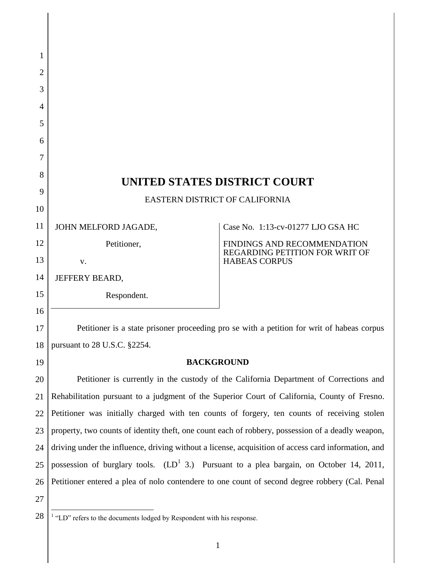| 1  |                                                                                                     |                                                        |  |
|----|-----------------------------------------------------------------------------------------------------|--------------------------------------------------------|--|
| 2  |                                                                                                     |                                                        |  |
| 3  |                                                                                                     |                                                        |  |
| 4  |                                                                                                     |                                                        |  |
| 5  |                                                                                                     |                                                        |  |
| 6  |                                                                                                     |                                                        |  |
| 7  |                                                                                                     |                                                        |  |
| 8  |                                                                                                     |                                                        |  |
| 9  | UNITED STATES DISTRICT COURT                                                                        |                                                        |  |
| 10 | EASTERN DISTRICT OF CALIFORNIA                                                                      |                                                        |  |
| 11 | JOHN MELFORD JAGADE,                                                                                | Case No. 1:13-cv-01277 LJO GSA HC                      |  |
| 12 | Petitioner,                                                                                         | FINDINGS AND RECOMMENDATION                            |  |
| 13 | V.                                                                                                  | REGARDING PETITION FOR WRIT OF<br><b>HABEAS CORPUS</b> |  |
| 14 | JEFFERY BEARD,                                                                                      |                                                        |  |
| 15 | Respondent.                                                                                         |                                                        |  |
| 16 |                                                                                                     |                                                        |  |
| 17 | Petitioner is a state prisoner proceeding pro se with a petition for writ of habeas corpus          |                                                        |  |
| 18 | pursuant to 28 U.S.C. §2254.                                                                        |                                                        |  |
| 19 | <b>BACKGROUND</b>                                                                                   |                                                        |  |
| 20 | Petitioner is currently in the custody of the California Department of Corrections and              |                                                        |  |
| 21 | Rehabilitation pursuant to a judgment of the Superior Court of California, County of Fresno.        |                                                        |  |
| 22 | Petitioner was initially charged with ten counts of forgery, ten counts of receiving stolen         |                                                        |  |
| 23 | property, two counts of identity theft, one count each of robbery, possession of a deadly weapon,   |                                                        |  |
| 24 | driving under the influence, driving without a license, acquisition of access card information, and |                                                        |  |
| 25 | possession of burglary tools. $(LD^1 3)$ . Pursuant to a plea bargain, on October 14, 2011,         |                                                        |  |
| 26 | Petitioner entered a plea of nolo contendere to one count of second degree robbery (Cal. Penal      |                                                        |  |
| 27 |                                                                                                     |                                                        |  |
| 28 | <sup>1</sup> "LD" refers to the documents lodged by Respondent with his response.                   |                                                        |  |

 $\overline{\phantom{a}}$ 

<sup>1</sup>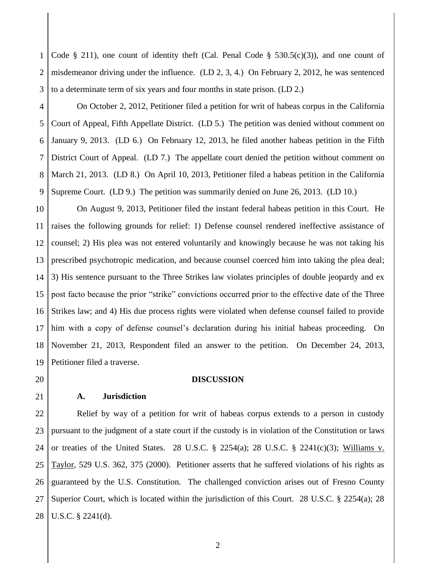1 2 3 Code § 211), one count of identity theft (Cal. Penal Code §  $530.5(c)(3)$ ), and one count of misdemeanor driving under the influence. (LD 2, 3, 4.) On February 2, 2012, he was sentenced to a determinate term of six years and four months in state prison. (LD 2.)

4 5 6 7 8 9 On October 2, 2012, Petitioner filed a petition for writ of habeas corpus in the California Court of Appeal, Fifth Appellate District. (LD 5.) The petition was denied without comment on January 9, 2013. (LD 6.) On February 12, 2013, he filed another habeas petition in the Fifth District Court of Appeal. (LD 7.) The appellate court denied the petition without comment on March 21, 2013. (LD 8.) On April 10, 2013, Petitioner filed a habeas petition in the California Supreme Court. (LD 9.) The petition was summarily denied on June 26, 2013. (LD 10.)

10 11 12 13 14 15 16 17 18 19 On August 9, 2013, Petitioner filed the instant federal habeas petition in this Court. He raises the following grounds for relief: 1) Defense counsel rendered ineffective assistance of counsel; 2) His plea was not entered voluntarily and knowingly because he was not taking his prescribed psychotropic medication, and because counsel coerced him into taking the plea deal; 3) His sentence pursuant to the Three Strikes law violates principles of double jeopardy and ex post facto because the prior "strike" convictions occurred prior to the effective date of the Three Strikes law; and 4) His due process rights were violated when defense counsel failed to provide him with a copy of defense counsel's declaration during his initial habeas proceeding. On November 21, 2013, Respondent filed an answer to the petition. On December 24, 2013, Petitioner filed a traverse.

20

21

**A. Jurisdiction**

### **DISCUSSION**

22 23 24 25 26 27 28 Relief by way of a petition for writ of habeas corpus extends to a person in custody pursuant to the judgment of a state court if the custody is in violation of the Constitution or laws or treaties of the United States. 28 U.S.C.  $\S$  2254(a); 28 U.S.C.  $\S$  2241(c)(3); Williams v. Taylor, 529 U.S. 362, 375 (2000). Petitioner asserts that he suffered violations of his rights as guaranteed by the U.S. Constitution. The challenged conviction arises out of Fresno County Superior Court, which is located within the jurisdiction of this Court. 28 U.S.C. § 2254(a); 28 U.S.C. § 2241(d).

2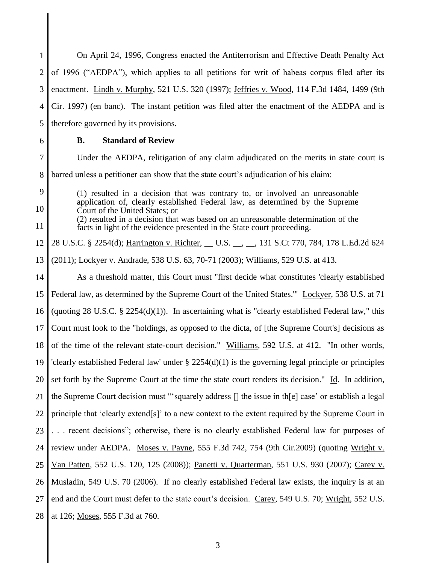1 2 3 4 5 6 7 8 9 10 11 12 13 14 15 16 17 18 19 20 21 22 23 24 25 26 27 28 On April 24, 1996, Congress enacted the Antiterrorism and Effective Death Penalty Act of 1996 ("AEDPA"), which applies to all petitions for writ of habeas corpus filed after its enactment. Lindh v. Murphy, 521 U.S. 320 (1997); Jeffries v. Wood, 114 F.3d 1484, 1499 (9th Cir. 1997) (en banc). The instant petition was filed after the enactment of the AEDPA and is therefore governed by its provisions. **B. Standard of Review** Under the AEDPA, relitigation of any claim adjudicated on the merits in state court is barred unless a petitioner can show that the state court's adjudication of his claim: (1) resulted in a decision that was contrary to, or involved an unreasonable application of, clearly established Federal law, as determined by the Supreme Court of the United States; or (2) resulted in a decision that was based on an unreasonable determination of the facts in light of the evidence presented in the State court proceeding. 28 U.S.C. § 2254(d); Harrington v. Richter, U.S. , 131 S.Ct 770, 784, 178 L.Ed.2d 624 (2011); Lockyer v. Andrade, 538 U.S. 63, 70-71 (2003); Williams, 529 U.S. at 413. As a threshold matter, this Court must "first decide what constitutes 'clearly established Federal law, as determined by the Supreme Court of the United States.'" Lockyer, 538 U.S. at 71 (quoting 28 U.S.C.  $\S$  2254(d)(1)). In ascertaining what is "clearly established Federal law," this Court must look to the "holdings, as opposed to the dicta, of [the Supreme Court's] decisions as of the time of the relevant state-court decision." Williams, 592 U.S. at 412. "In other words, 'clearly established Federal law' under § 2254(d)(1) is the governing legal principle or principles set forth by the Supreme Court at the time the state court renders its decision." Id. In addition, the Supreme Court decision must "'squarely address [] the issue in th[e] case' or establish a legal principle that 'clearly extend[s]' to a new context to the extent required by the Supreme Court in . . . recent decisions"; otherwise, there is no clearly established Federal law for purposes of review under AEDPA. Moses v. Payne, 555 F.3d 742, 754 (9th Cir.2009) (quoting Wright v. Van Patten, 552 U.S. 120, 125 (2008)); Panetti v. Quarterman, 551 U.S. 930 (2007); Carey v. Musladin, 549 U.S. 70 (2006). If no clearly established Federal law exists, the inquiry is at an end and the Court must defer to the state court's decision. Carey, 549 U.S. 70; Wright, 552 U.S. at 126; Moses, 555 F.3d at 760.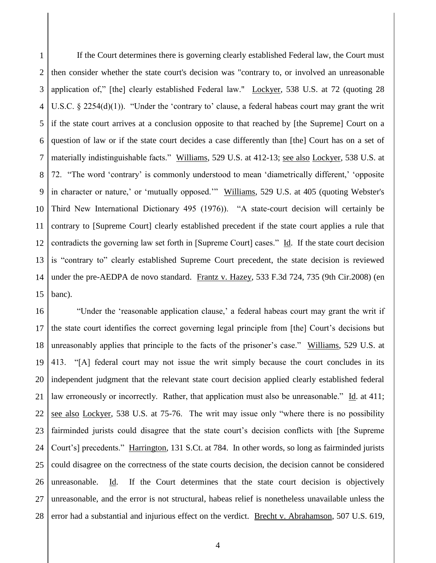1 2 3 4 5 6 7 8 9 10 11 12 13 14 15 If the Court determines there is governing clearly established Federal law, the Court must then consider whether the state court's decision was "contrary to, or involved an unreasonable application of," [the] clearly established Federal law." Lockyer, 538 U.S. at 72 (quoting 28 U.S.C. § 2254(d)(1)). "Under the 'contrary to' clause, a federal habeas court may grant the writ if the state court arrives at a conclusion opposite to that reached by [the Supreme] Court on a question of law or if the state court decides a case differently than [the] Court has on a set of materially indistinguishable facts." Williams, 529 U.S. at 412-13; see also Lockyer, 538 U.S. at 72. "The word 'contrary' is commonly understood to mean 'diametrically different,' 'opposite in character or nature,' or 'mutually opposed.'" Williams, 529 U.S. at 405 (quoting Webster's Third New International Dictionary 495 (1976)). "A state-court decision will certainly be contrary to [Supreme Court] clearly established precedent if the state court applies a rule that contradicts the governing law set forth in [Supreme Court] cases." Id. If the state court decision is "contrary to" clearly established Supreme Court precedent, the state decision is reviewed under the pre-AEDPA de novo standard. Frantz v. Hazey, 533 F.3d 724, 735 (9th Cir.2008) (en banc).

16 17 18 19 20 21 22 23 24 25 26 27 28 "Under the 'reasonable application clause,' a federal habeas court may grant the writ if the state court identifies the correct governing legal principle from [the] Court's decisions but unreasonably applies that principle to the facts of the prisoner's case." Williams, 529 U.S. at 413. "[A] federal court may not issue the writ simply because the court concludes in its independent judgment that the relevant state court decision applied clearly established federal law erroneously or incorrectly. Rather, that application must also be unreasonable." Id. at 411; see also Lockyer, 538 U.S. at 75-76. The writ may issue only "where there is no possibility fairminded jurists could disagree that the state court's decision conflicts with [the Supreme Court's] precedents." Harrington, 131 S.Ct. at 784. In other words, so long as fairminded jurists could disagree on the correctness of the state courts decision, the decision cannot be considered unreasonable. Id. If the Court determines that the state court decision is objectively unreasonable, and the error is not structural, habeas relief is nonetheless unavailable unless the error had a substantial and injurious effect on the verdict. Brecht v. Abrahamson, 507 U.S. 619,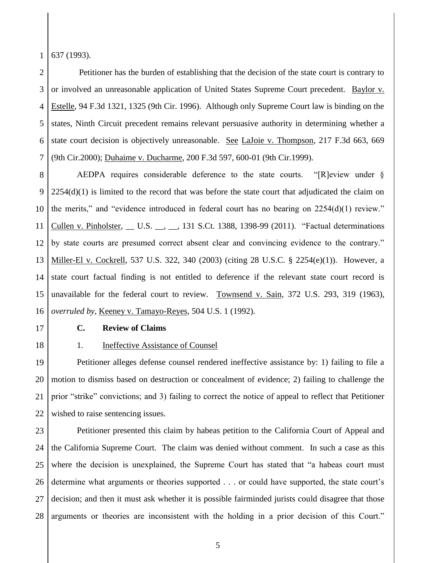1 637 (1993).

2 3 4 5 6 7 Petitioner has the burden of establishing that the decision of the state court is contrary to or involved an unreasonable application of United States Supreme Court precedent. Baylor v. Estelle, 94 F.3d 1321, 1325 (9th Cir. 1996). Although only Supreme Court law is binding on the states, Ninth Circuit precedent remains relevant persuasive authority in determining whether a state court decision is objectively unreasonable. See LaJoie v. Thompson, 217 F.3d 663, 669 (9th Cir.2000); Duhaime v. Ducharme, 200 F.3d 597, 600-01 (9th Cir.1999).

8 9 10 11 12 13 14 15 16 AEDPA requires considerable deference to the state courts. "[R]eview under §  $2254(d)(1)$  is limited to the record that was before the state court that adjudicated the claim on the merits," and "evidence introduced in federal court has no bearing on 2254(d)(1) review." Cullen v. Pinholster, \_\_ U.S. \_\_, \_\_, 131 S.Ct. 1388, 1398-99 (2011). "Factual determinations by state courts are presumed correct absent clear and convincing evidence to the contrary." Miller-El v. Cockrell, 537 U.S. 322, 340 (2003) (citing 28 U.S.C. § 2254(e)(1)). However, a state court factual finding is not entitled to deference if the relevant state court record is unavailable for the federal court to review. Townsend v. Sain, 372 U.S. 293, 319 (1963), *overruled by*, Keeney v. Tamayo-Reyes, 504 U.S. 1 (1992).

17

18

# **C. Review of Claims**

## 1. **Ineffective Assistance of Counsel**

19 20 21 22 Petitioner alleges defense counsel rendered ineffective assistance by: 1) failing to file a motion to dismiss based on destruction or concealment of evidence; 2) failing to challenge the prior "strike" convictions; and 3) failing to correct the notice of appeal to reflect that Petitioner wished to raise sentencing issues.

23 24 25 26 27 28 Petitioner presented this claim by habeas petition to the California Court of Appeal and the California Supreme Court. The claim was denied without comment. In such a case as this where the decision is unexplained, the Supreme Court has stated that "a habeas court must determine what arguments or theories supported . . . or could have supported, the state court's decision; and then it must ask whether it is possible fairminded jurists could disagree that those arguments or theories are inconsistent with the holding in a prior decision of this Court."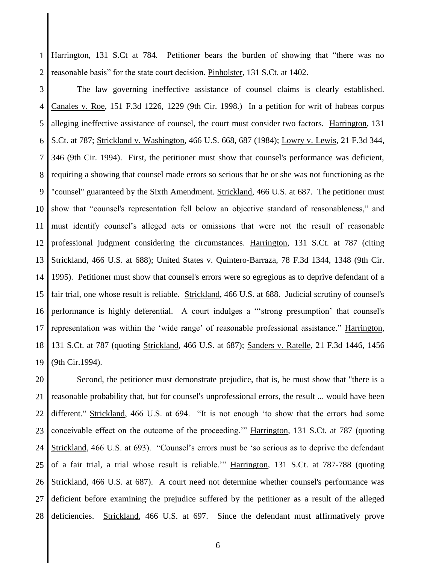1 2 Harrington, 131 S.Ct at 784. Petitioner bears the burden of showing that "there was no reasonable basis" for the state court decision. Pinholster, 131 S.Ct. at 1402.

3 4 5 6 7 8 9 10 11 12 13 14 15 16 17 18 19 The law governing ineffective assistance of counsel claims is clearly established. Canales v. Roe, 151 F.3d 1226, 1229 (9th Cir. 1998.) In a petition for writ of habeas corpus alleging ineffective assistance of counsel, the court must consider two factors. Harrington, 131 S.Ct. at 787; Strickland v. Washington, 466 U.S. 668, 687 (1984); Lowry v. Lewis, 21 F.3d 344, 346 (9th Cir. 1994). First, the petitioner must show that counsel's performance was deficient, requiring a showing that counsel made errors so serious that he or she was not functioning as the "counsel" guaranteed by the Sixth Amendment. Strickland, 466 U.S. at 687. The petitioner must show that "counsel's representation fell below an objective standard of reasonableness," and must identify counsel's alleged acts or omissions that were not the result of reasonable professional judgment considering the circumstances. Harrington, 131 S.Ct. at 787 (citing Strickland, 466 U.S. at 688); United States v. Quintero-Barraza, 78 F.3d 1344, 1348 (9th Cir. 1995). Petitioner must show that counsel's errors were so egregious as to deprive defendant of a fair trial, one whose result is reliable. Strickland, 466 U.S. at 688. Judicial scrutiny of counsel's performance is highly deferential. A court indulges a "'strong presumption' that counsel's representation was within the 'wide range' of reasonable professional assistance." Harrington, 131 S.Ct. at 787 (quoting Strickland, 466 U.S. at 687); Sanders v. Ratelle, 21 F.3d 1446, 1456 (9th Cir.1994).

20 21 22 23 24 25 26 27 28 Second, the petitioner must demonstrate prejudice, that is, he must show that "there is a reasonable probability that, but for counsel's unprofessional errors, the result ... would have been different." Strickland, 466 U.S. at 694. "It is not enough 'to show that the errors had some conceivable effect on the outcome of the proceeding.'" Harrington, 131 S.Ct. at 787 (quoting Strickland, 466 U.S. at 693). "Counsel's errors must be 'so serious as to deprive the defendant of a fair trial, a trial whose result is reliable.'" Harrington, 131 S.Ct. at 787-788 (quoting Strickland, 466 U.S. at 687). A court need not determine whether counsel's performance was deficient before examining the prejudice suffered by the petitioner as a result of the alleged deficiencies. Strickland, 466 U.S. at 697. Since the defendant must affirmatively prove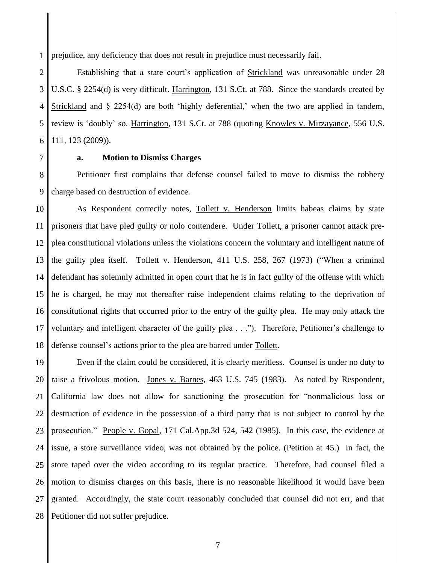1 prejudice, any deficiency that does not result in prejudice must necessarily fail.

2 3 4 5 6 Establishing that a state court's application of Strickland was unreasonable under 28 U.S.C. § 2254(d) is very difficult. Harrington, 131 S.Ct. at 788. Since the standards created by Strickland and § 2254(d) are both 'highly deferential,' when the two are applied in tandem, review is 'doubly' so. Harrington, 131 S.Ct. at 788 (quoting Knowles v. Mirzayance, 556 U.S. 111, 123 (2009)).

7

# **a. Motion to Dismiss Charges**

8 9 Petitioner first complains that defense counsel failed to move to dismiss the robbery charge based on destruction of evidence.

10 11 12 13 14 15 16 17 18 As Respondent correctly notes, Tollett v. Henderson limits habeas claims by state prisoners that have pled guilty or nolo contendere. Under Tollett, a prisoner cannot attack preplea constitutional violations unless the violations concern the voluntary and intelligent nature of the guilty plea itself. Tollett v. Henderson, 411 U.S. 258, 267 (1973) ("When a criminal defendant has solemnly admitted in open court that he is in fact guilty of the offense with which he is charged, he may not thereafter raise independent claims relating to the deprivation of constitutional rights that occurred prior to the entry of the guilty plea. He may only attack the voluntary and intelligent character of the guilty plea . . ."). Therefore, Petitioner's challenge to defense counsel's actions prior to the plea are barred under Tollett.

19 20 21 22 23 24 25 26 27 28 Even if the claim could be considered, it is clearly meritless. Counsel is under no duty to raise a frivolous motion. Jones v. Barnes, 463 U.S. 745 (1983). As noted by Respondent, California law does not allow for sanctioning the prosecution for "nonmalicious loss or destruction of evidence in the possession of a third party that is not subject to control by the prosecution." People v. Gopal, 171 Cal.App.3d 524, 542 (1985). In this case, the evidence at issue, a store surveillance video, was not obtained by the police. (Petition at 45.) In fact, the store taped over the video according to its regular practice. Therefore, had counsel filed a motion to dismiss charges on this basis, there is no reasonable likelihood it would have been granted. Accordingly, the state court reasonably concluded that counsel did not err, and that Petitioner did not suffer prejudice.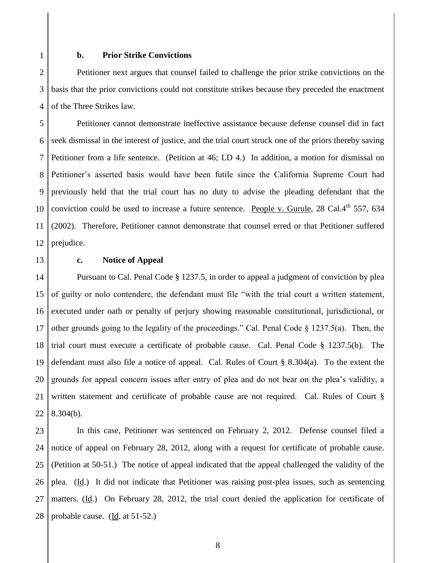1

#### **b. Prior Strike Convictions**

2 3 4 Petitioner next argues that counsel failed to challenge the prior strike convictions on the basis that the prior convictions could not constitute strikes because they preceded the enactment of the Three Strikes law.

5 6 7 8 9 10 11 12 Petitioner cannot demonstrate ineffective assistance because defense counsel did in fact seek dismissal in the interest of justice, and the trial court struck one of the priors thereby saving Petitioner from a life sentence. (Petition at 46; LD 4.) In addition, a motion for dismissal on Petitioner's asserted basis would have been futile since the California Supreme Court had previously held that the trial court has no duty to advise the pleading defendant that the conviction could be used to increase a future sentence. People v. Gurule, 28 Cal. $4^{th}$  557, 634 (2002). Therefore, Petitioner cannot demonstrate that counsel erred or that Petitioner suffered prejudice.

13

#### **c. Notice of Appeal**

14 15 16 17 18 19 20 21 22 Pursuant to Cal. Penal Code § 1237.5, in order to appeal a judgment of conviction by plea of guilty or nolo contendere, the defendant must file "with the trial court a written statement, executed under oath or penalty of perjury showing reasonable constitutional, jurisdictional, or other grounds going to the legality of the proceedings." Cal. Penal Code § 1237.5(a). Then, the trial court must execute a certificate of probable cause. Cal. Penal Code § 1237.5(b). The defendant must also file a notice of appeal. Cal. Rules of Court § 8.304(a). To the extent the grounds for appeal concern issues after entry of plea and do not bear on the plea's validity, a written statement and certificate of probable cause are not required. Cal. Rules of Court § 8.304(b).

23 24 25 26 27 28 In this case, Petitioner was sentenced on February 2, 2012. Defense counsel filed a notice of appeal on February 28, 2012, along with a request for certificate of probable cause. (Petition at 50-51.) The notice of appeal indicated that the appeal challenged the validity of the plea. (Id.) It did not indicate that Petitioner was raising post-plea issues, such as sentencing matters. (Id.) On February 28, 2012, the trial court denied the application for certificate of probable cause. (Id. at  $51-52$ .)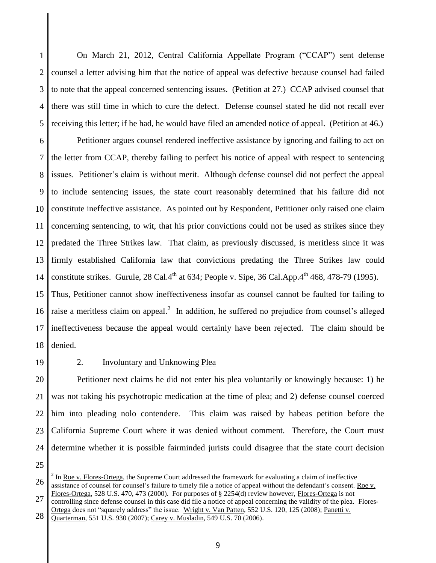1 2 3 4 5 On March 21, 2012, Central California Appellate Program ("CCAP") sent defense counsel a letter advising him that the notice of appeal was defective because counsel had failed to note that the appeal concerned sentencing issues. (Petition at 27.) CCAP advised counsel that there was still time in which to cure the defect. Defense counsel stated he did not recall ever receiving this letter; if he had, he would have filed an amended notice of appeal. (Petition at 46.)

6 7 8 9 10 11 12 13 14 15 16 17 Petitioner argues counsel rendered ineffective assistance by ignoring and failing to act on the letter from CCAP, thereby failing to perfect his notice of appeal with respect to sentencing issues. Petitioner's claim is without merit. Although defense counsel did not perfect the appeal to include sentencing issues, the state court reasonably determined that his failure did not constitute ineffective assistance. As pointed out by Respondent, Petitioner only raised one claim concerning sentencing, to wit, that his prior convictions could not be used as strikes since they predated the Three Strikes law. That claim, as previously discussed, is meritless since it was firmly established California law that convictions predating the Three Strikes law could constitute strikes. Gurule, 28 Cal.4<sup>th</sup> at 634; People v. Sipe, 36 Cal.App. $4^{th}$  468, 478-79 (1995). Thus, Petitioner cannot show ineffectiveness insofar as counsel cannot be faulted for failing to raise a meritless claim on appeal. $^2$  In addition, he suffered no prejudice from counsel's alleged ineffectiveness because the appeal would certainly have been rejected. The claim should be

- 18 denied.
- 19

# 2. Involuntary and Unknowing Plea

20 21 22 23 24 Petitioner next claims he did not enter his plea voluntarily or knowingly because: 1) he was not taking his psychotropic medication at the time of plea; and 2) defense counsel coerced him into pleading nolo contendere. This claim was raised by habeas petition before the California Supreme Court where it was denied without comment. Therefore, the Court must determine whether it is possible fairminded jurists could disagree that the state court decision

25

 $\overline{a}$ 

27 28 controlling since defense counsel in this case did file a notice of appeal concerning the validity of the plea. Flores-Ortega does not "squarely address" the issue. Wright v. Van Patten, 552 U.S. 120, 125 (2008); Panetti v.

<sup>26</sup> <sup>2</sup> In <u>Roe v. Flores-Ortega</u>, the Supreme Court addressed the framework for evaluating a claim of ineffective assistance of counsel for counsel's failure to timely file a notice of appeal without the defendant's consent. Roe v. Flores-Ortega, 528 U.S. 470, 473 (2000). For purposes of § 2254(d) review however, Flores-Ortega is not

Quarterman, 551 U.S. 930 (2007); Carey v. Musladin, 549 U.S. 70 (2006).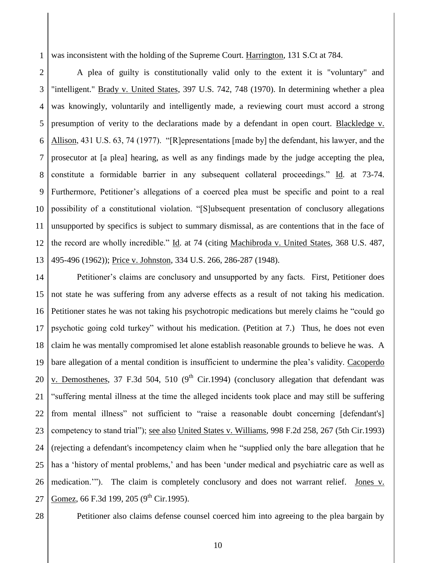1 was inconsistent with the holding of the Supreme Court. Harrington, 131 S.Ct at 784.

2 3 4 5 6 7 8 9 10 11 12 13 A plea of guilty is constitutionally valid only to the extent it is "voluntary" and "intelligent." Brady v. United States, 397 U.S. 742, 748 (1970). In determining whether a plea was knowingly, voluntarily and intelligently made, a reviewing court must accord a strong presumption of verity to the declarations made by a defendant in open court. Blackledge v. Allison, 431 U.S. 63, 74 (1977). "[R]epresentations [made by] the defendant, his lawyer, and the prosecutor at [a plea] hearing, as well as any findings made by the judge accepting the plea, constitute a formidable barrier in any subsequent collateral proceedings." Id. at 73-74. Furthermore, Petitioner's allegations of a coerced plea must be specific and point to a real possibility of a constitutional violation. "[S]ubsequent presentation of conclusory allegations unsupported by specifics is subject to summary dismissal, as are contentions that in the face of the record are wholly incredible." Id. at 74 (citing Machibroda v. United States, 368 U.S. 487, 495-496 (1962)); Price v. Johnston, 334 U.S. 266, 286-287 (1948).

14 15 16 17 18 19 20 21 22 23 24 25 26 27 Petitioner's claims are conclusory and unsupported by any facts. First, Petitioner does not state he was suffering from any adverse effects as a result of not taking his medication. Petitioner states he was not taking his psychotropic medications but merely claims he "could go psychotic going cold turkey" without his medication. (Petition at 7.) Thus, he does not even claim he was mentally compromised let alone establish reasonable grounds to believe he was. A bare allegation of a mental condition is insufficient to undermine the plea's validity. Cacoperdo v. Demosthenes, 37 F.3d 504, 510 (9<sup>th</sup> Cir.1994) (conclusory allegation that defendant was "suffering mental illness at the time the alleged incidents took place and may still be suffering from mental illness" not sufficient to "raise a reasonable doubt concerning [defendant's] competency to stand trial"); see also United States v. Williams, 998 F.2d 258, 267 (5th Cir.1993) (rejecting a defendant's incompetency claim when he "supplied only the bare allegation that he has a 'history of mental problems,' and has been 'under medical and psychiatric care as well as medication.'"). The claim is completely conclusory and does not warrant relief. Jones v. Gomez, 66 F.3d 199, 205 (9<sup>th</sup> Cir.1995).

28

Petitioner also claims defense counsel coerced him into agreeing to the plea bargain by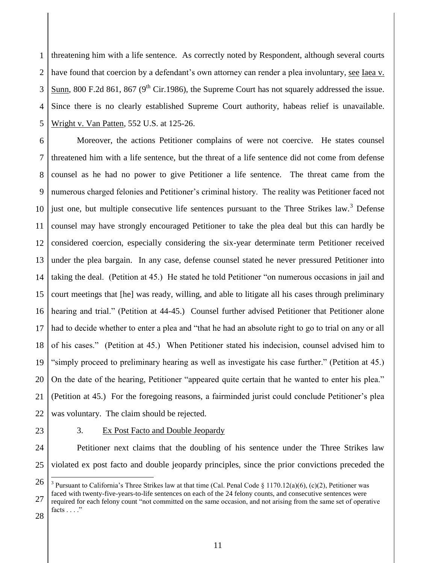1 2 3 4 5 threatening him with a life sentence. As correctly noted by Respondent, although several courts have found that coercion by a defendant's own attorney can render a plea involuntary, see Iaea v. Sunn, 800 F.2d 861, 867 ( $9<sup>th</sup>$  Cir.1986), the Supreme Court has not squarely addressed the issue. Since there is no clearly established Supreme Court authority, habeas relief is unavailable. Wright v. Van Patten, 552 U.S. at 125-26.

6 7 8 9 10 11 12 13 14 15 16 17 18 19 20 21 22 Moreover, the actions Petitioner complains of were not coercive. He states counsel threatened him with a life sentence, but the threat of a life sentence did not come from defense counsel as he had no power to give Petitioner a life sentence. The threat came from the numerous charged felonies and Petitioner's criminal history. The reality was Petitioner faced not just one, but multiple consecutive life sentences pursuant to the Three Strikes law.<sup>3</sup> Defense counsel may have strongly encouraged Petitioner to take the plea deal but this can hardly be considered coercion, especially considering the six-year determinate term Petitioner received under the plea bargain. In any case, defense counsel stated he never pressured Petitioner into taking the deal. (Petition at 45.) He stated he told Petitioner "on numerous occasions in jail and court meetings that [he] was ready, willing, and able to litigate all his cases through preliminary hearing and trial." (Petition at 44-45.) Counsel further advised Petitioner that Petitioner alone had to decide whether to enter a plea and "that he had an absolute right to go to trial on any or all of his cases." (Petition at 45.) When Petitioner stated his indecision, counsel advised him to "simply proceed to preliminary hearing as well as investigate his case further." (Petition at 45.) On the date of the hearing, Petitioner "appeared quite certain that he wanted to enter his plea." (Petition at 45.) For the foregoing reasons, a fairminded jurist could conclude Petitioner's plea was voluntary. The claim should be rejected.

23

 $\overline{a}$ 

# 3. Ex Post Facto and Double Jeopardy

24 25 Petitioner next claims that the doubling of his sentence under the Three Strikes law violated ex post facto and double jeopardy principles, since the prior convictions preceded the

<sup>26</sup> 27 28 <sup>3</sup> Pursuant to California's Three Strikes law at that time (Cal. Penal Code § 1170.12(a)(6), (c)(2), Petitioner was faced with twenty-five-years-to-life sentences on each of the 24 felony counts, and consecutive sentences were required for each felony count "not committed on the same occasion, and not arising from the same set of operative facts . . . ."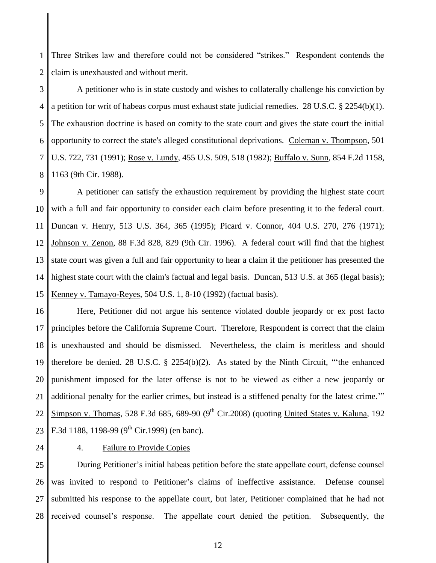1 2 Three Strikes law and therefore could not be considered "strikes." Respondent contends the claim is unexhausted and without merit.

3 4 5 6 7 8 A petitioner who is in state custody and wishes to collaterally challenge his conviction by a petition for writ of habeas corpus must exhaust state judicial remedies. 28 U.S.C. § 2254(b)(1). The exhaustion doctrine is based on comity to the state court and gives the state court the initial opportunity to correct the state's alleged constitutional deprivations. Coleman v. Thompson, 501 U.S. 722, 731 (1991); Rose v. Lundy, 455 U.S. 509, 518 (1982); Buffalo v. Sunn, 854 F.2d 1158, 1163 (9th Cir. 1988).

9 10 11 12 13 14 15 A petitioner can satisfy the exhaustion requirement by providing the highest state court with a full and fair opportunity to consider each claim before presenting it to the federal court. Duncan v. Henry, 513 U.S. 364, 365 (1995); Picard v. Connor, 404 U.S. 270, 276 (1971); Johnson v. Zenon, 88 F.3d 828, 829 (9th Cir. 1996). A federal court will find that the highest state court was given a full and fair opportunity to hear a claim if the petitioner has presented the highest state court with the claim's factual and legal basis. Duncan, 513 U.S. at 365 (legal basis); Kenney v. Tamayo-Reyes, 504 U.S. 1, 8-10 (1992) (factual basis).

16 17 18 19 20 21 22 23 Here, Petitioner did not argue his sentence violated double jeopardy or ex post facto principles before the California Supreme Court. Therefore, Respondent is correct that the claim is unexhausted and should be dismissed. Nevertheless, the claim is meritless and should therefore be denied. 28 U.S.C. § 2254(b)(2). As stated by the Ninth Circuit, "'the enhanced punishment imposed for the later offense is not to be viewed as either a new jeopardy or additional penalty for the earlier crimes, but instead is a stiffened penalty for the latest crime.'" Simpson v. Thomas, 528 F.3d 685, 689-90 (9<sup>th</sup> Cir.2008) (quoting United States v. Kaluna, 192 F.3d 1188, 1198-99 (9<sup>th</sup> Cir.1999) (en banc).

24

## 4. Failure to Provide Copies

25 26 27 28 During Petitioner's initial habeas petition before the state appellate court, defense counsel was invited to respond to Petitioner's claims of ineffective assistance. Defense counsel submitted his response to the appellate court, but later, Petitioner complained that he had not received counsel's response. The appellate court denied the petition. Subsequently, the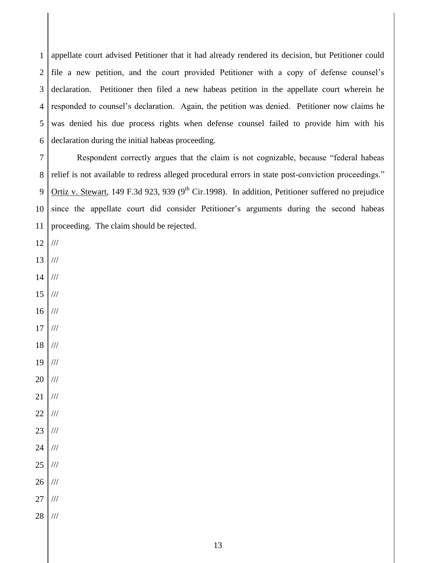1 2 3 4 5 6 appellate court advised Petitioner that it had already rendered its decision, but Petitioner could file a new petition, and the court provided Petitioner with a copy of defense counsel's declaration. Petitioner then filed a new habeas petition in the appellate court wherein he responded to counsel's declaration. Again, the petition was denied. Petitioner now claims he was denied his due process rights when defense counsel failed to provide him with his declaration during the initial habeas proceeding.

7 8 9 10 11 Respondent correctly argues that the claim is not cognizable, because "federal habeas relief is not available to redress alleged procedural errors in state post-conviction proceedings." Ortiz v. Stewart, 149 F.3d 923, 939 (9<sup>th</sup> Cir.1998). In addition, Petitioner suffered no prejudice since the appellate court did consider Petitioner's arguments during the second habeas proceeding. The claim should be rejected.

- 12 ///
- 13 ///
- 14 ///
- 15 ///
- 16 ///
- 17 ///
- 18 ///
- 19 ///
- 20 ///
- 21 ///
- 22 ///
- 23 ///
- 24 ///
- 25 ///
- 26 ///
- 27 ///
- 28 ///